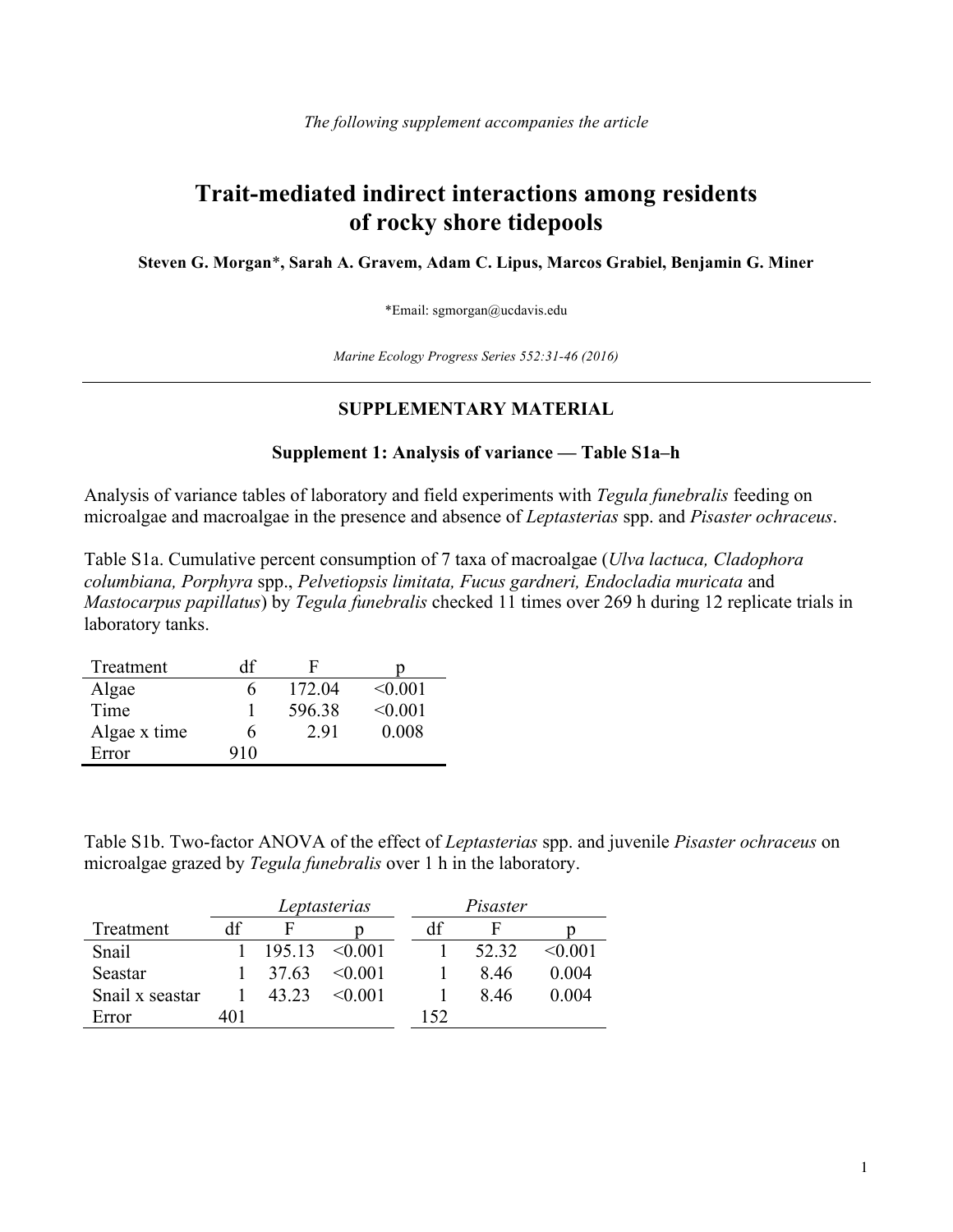## **Trait-mediated indirect interactions among residents of rocky shore tidepools**

**Steven G. Morgan**\***, Sarah A. Gravem, Adam C. Lipus, Marcos Grabiel, Benjamin G. Miner**

\*Email: sgmorgan@ucdavis.edu

*Marine Ecology Progress Series 552:31-46 (2016)*

## **SUPPLEMENTARY MATERIAL**

## **Supplement 1: Analysis of variance — Table S1a–h**

Analysis of variance tables of laboratory and field experiments with *Tegula funebralis* feeding on microalgae and macroalgae in the presence and absence of *Leptasterias* spp. and *Pisaster ochraceus*.

Table S1a. Cumulative percent consumption of 7 taxa of macroalgae (*Ulva lactuca, Cladophora columbiana, Porphyra* spp., *Pelvetiopsis limitata, Fucus gardneri, Endocladia muricata* and *Mastocarpus papillatus*) by *Tegula funebralis* checked 11 times over 269 h during 12 replicate trials in laboratory tanks.

| Treatment    | df  |        |         |
|--------------|-----|--------|---------|
| Algae        |     | 172.04 | < 0.001 |
| Time         |     | 596.38 | < 0.001 |
| Algae x time | h   | 2.91   | 0.008   |
| Error        | 910 |        |         |

Table S1b. Two-factor ANOVA of the effect of *Leptasterias* spp. and juvenile *Pisaster ochraceus* on microalgae grazed by *Tegula funebralis* over 1 h in the laboratory.

|                 |     | Leptasterias |              |     | Pisaster |         |  |
|-----------------|-----|--------------|--------------|-----|----------|---------|--|
| Treatment       | df  | F            |              | df  |          |         |  |
| Snail           |     | 195.13       | $\leq 0.001$ |     | 52.32    | < 0.001 |  |
| Seastar         |     | 37.63        | $<$ 0.01     |     | 846      | 0.004   |  |
| Snail x seastar |     | 43.23        | $<$ 0 0 0 1  |     | 846      | 0.004   |  |
| Error           | 401 |              |              | 152 |          |         |  |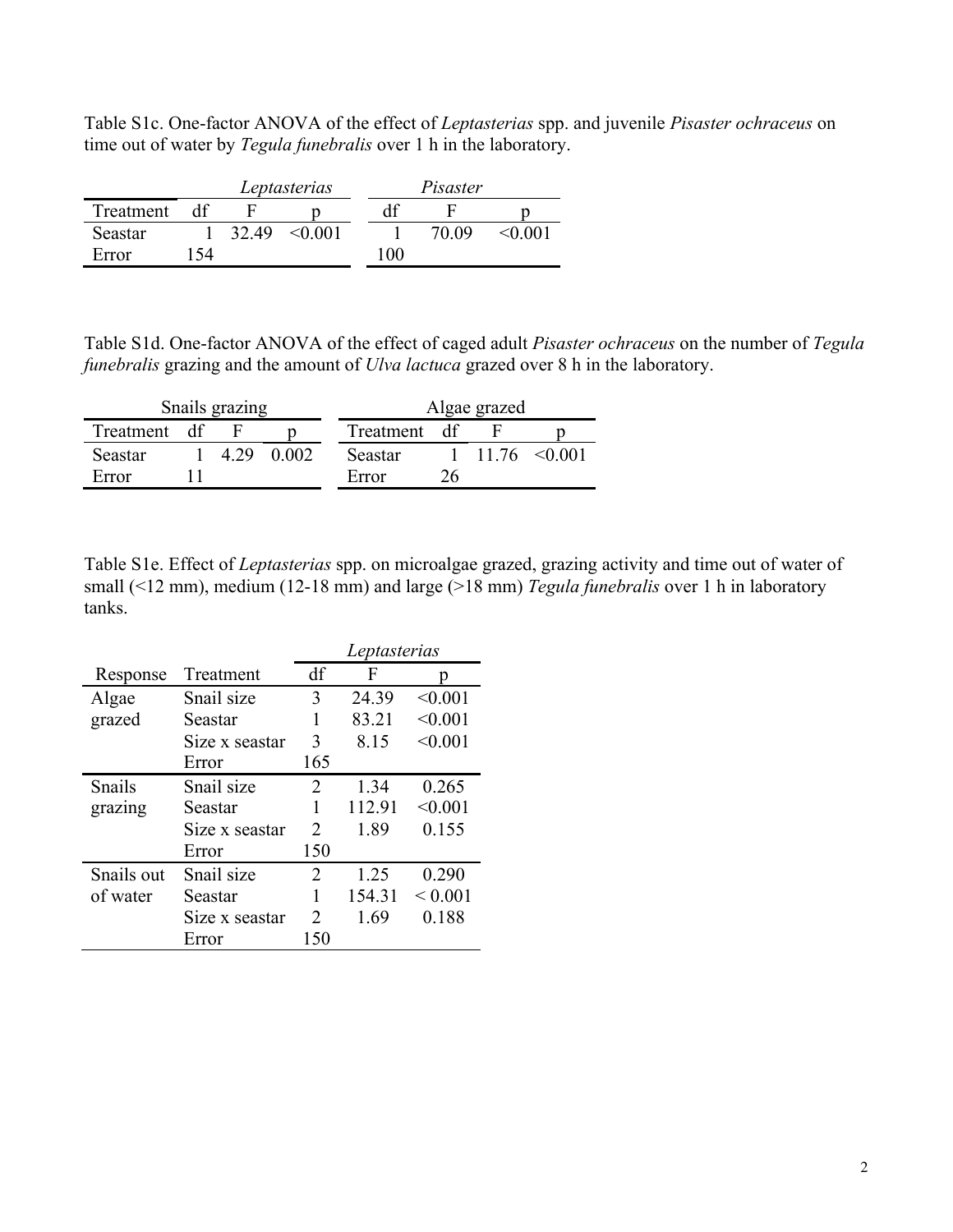Table S1c. One-factor ANOVA of the effect of *Leptasterias* spp. and juvenile *Pisaster ochraceus* on time out of water by *Tegula funebralis* over 1 h in the laboratory.

|           |     |       | Leptasterias |     | Pisaster |        |  |
|-----------|-----|-------|--------------|-----|----------|--------|--|
| Treatment |     |       |              |     |          |        |  |
| Seastar   |     | 32.49 | $<$ 0.01     |     | 70.09    | <∩ ∩∩1 |  |
| Error     | -54 |       |              | 100 |          |        |  |

Table S1d. One-factor ANOVA of the effect of caged adult *Pisaster ochraceus* on the number of *Tegula funebralis* grazing and the amount of *Ulva lactuca* grazed over 8 h in the laboratory.

| Snails grazing |  |      |       | Algae grazed |  |  |                                  |  |
|----------------|--|------|-------|--------------|--|--|----------------------------------|--|
| Treatment df   |  |      |       | Treatment df |  |  |                                  |  |
| Seastar        |  | 4.29 | 0.002 | Seastar      |  |  | $1 \quad 11.76 \quad \leq 0.001$ |  |
| Error          |  |      |       | Error        |  |  |                                  |  |

Table S1e. Effect of *Leptasterias* spp. on microalgae grazed, grazing activity and time out of water of small (<12 mm), medium (12-18 mm) and large (>18 mm) *Tegula funebralis* over 1 h in laboratory tanks.

|            |                | Leptasterias   |        |             |  |  |
|------------|----------------|----------------|--------|-------------|--|--|
| Response   | Treatment      | df             | F      | n           |  |  |
| Algae      | Snail size     | 3              | 24.39  | < 0.001     |  |  |
| grazed     | Seastar        | 1              | 83.21  | < 0.001     |  |  |
|            | Size x seastar | 3              | 8.15   | < 0.001     |  |  |
|            | Error          | 165            |        |             |  |  |
| Snails     | Snail size     | 2              | 1.34   | 0.265       |  |  |
| grazing    | Seastar        | 1              | 112.91 | < 0.001     |  |  |
|            | Size x seastar | $\mathcal{L}$  | 1.89   | 0.155       |  |  |
|            | Error          | 150            |        |             |  |  |
| Snails out | Snail size     | $\mathfrak{D}$ | 1.25   | 0.290       |  |  |
| of water   | Seastar        | 1              | 154.31 | ${}< 0.001$ |  |  |
|            | Size x seastar | $\mathfrak{D}$ | 1.69   | 0.188       |  |  |
|            | Error          | 150            |        |             |  |  |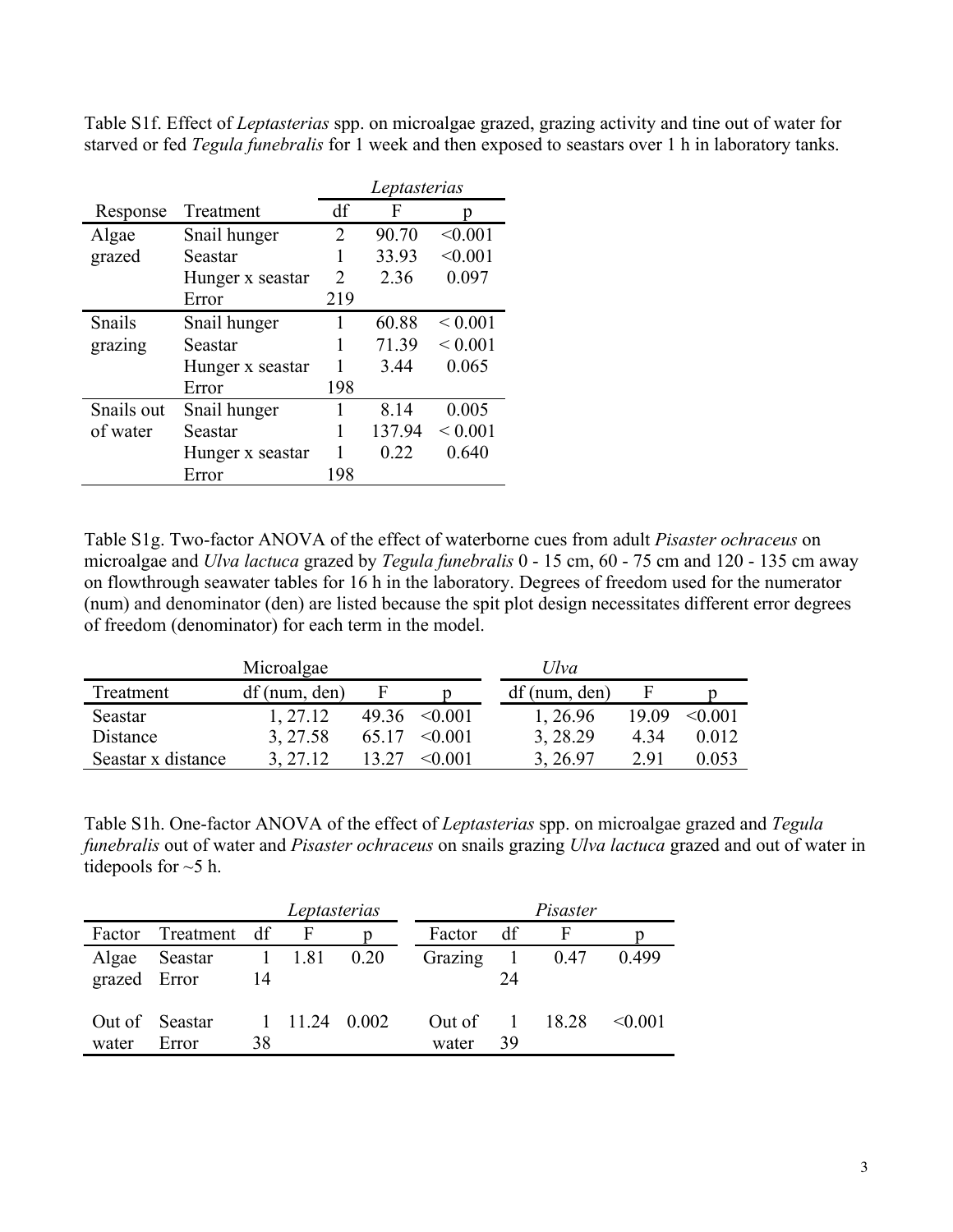Table S1f. Effect of *Leptasterias* spp. on microalgae grazed, grazing activity and tine out of water for starved or fed *Tegula funebralis* for 1 week and then exposed to seastars over 1 h in laboratory tanks.

|            |                  | Leptasterias                |        |             |  |
|------------|------------------|-----------------------------|--------|-------------|--|
| Response   | Treatment        | df                          | F      | p           |  |
| Algae      | Snail hunger     | 2                           | 90.70  | < 0.001     |  |
| grazed     | Seastar          |                             | 33.93  | < 0.001     |  |
|            | Hunger x seastar | $\mathcal{D}_{\mathcal{L}}$ | 2.36   | 0.097       |  |
|            | Error            | 219                         |        |             |  |
| Snails     | Snail hunger     | 1                           | 60.88  | ${}< 0.001$ |  |
| grazing    | Seastar          |                             | 71.39  | ${}< 0.001$ |  |
|            | Hunger x seastar |                             | 3.44   | 0.065       |  |
|            | Error            | 198                         |        |             |  |
| Snails out | Snail hunger     |                             | 8.14   | 0.005       |  |
| of water   | Seastar          |                             | 137.94 | ${}< 0.001$ |  |
|            | Hunger x seastar |                             | 0.22   | 0.640       |  |
|            | Error            | 198                         |        |             |  |

Table S1g. Two-factor ANOVA of the effect of waterborne cues from adult *Pisaster ochraceus* on microalgae and *Ulva lactuca* grazed by *Tegula funebralis* 0 - 15 cm, 60 - 75 cm and 120 - 135 cm away on flowthrough seawater tables for 16 h in the laboratory. Degrees of freedom used for the numerator (num) and denominator (den) are listed because the spit plot design necessitates different error degrees of freedom (denominator) for each term in the model.

|                    | Microalgae   |       |              | Ulva         |       |         |
|--------------------|--------------|-------|--------------|--------------|-------|---------|
| Treatment          | df(num, den) |       |              | df(num, den) |       |         |
| Seastar            | 1, 27.12     | 49.36 | $\leq 0.001$ | 1, 26.96     | 19.09 | < 0.001 |
| Distance           | 3, 27.58     | 65.17 | $\leq 0.001$ | 3, 28.29     | 4.34  | 0.012   |
| Seastar x distance | 3, 27.12     | 13.27 | < 0.001      | 3, 26.97     | 2.91  | 0.053   |

Table S1h. One-factor ANOVA of the effect of *Leptasterias* spp. on microalgae grazed and *Tegula funebralis* out of water and *Pisaster ochraceus* on snails grazing *Ulva lactuca* grazed and out of water in tidepools for  $\sim$  5 h.

|                       |                         |    | Leptasterias      |       |                 | Pisaster                               |         |         |  |
|-----------------------|-------------------------|----|-------------------|-------|-----------------|----------------------------------------|---------|---------|--|
| Factor                | Treatment df            |    | F                 |       | Factor          | df                                     | F       |         |  |
| Algae<br>grazed Error | Seastar                 | 14 | $1 \t1.81 \t0.20$ |       | Grazing         | $\begin{array}{c} 1 \end{array}$<br>24 | 0.47    | 0.499   |  |
| water                 | Out of Seastar<br>Error | 38 | 1 11.24           | 0.002 | Out of<br>water | 39                                     | 1 18.28 | < 0.001 |  |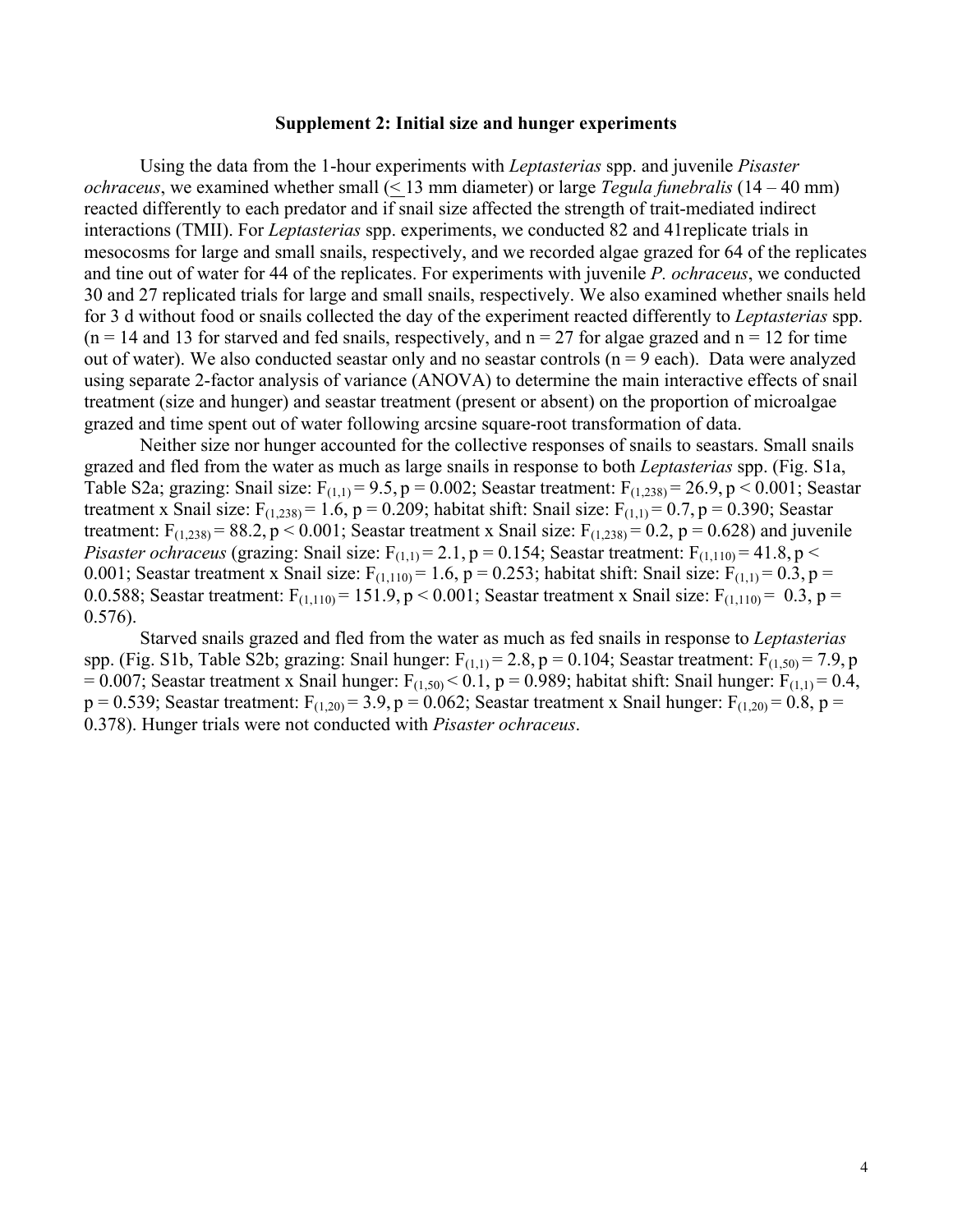## **Supplement 2: Initial size and hunger experiments**

Using the data from the 1-hour experiments with *Leptasterias* spp. and juvenile *Pisaster ochraceus*, we examined whether small (< 13 mm diameter) or large *Tegula funebralis* (14 – 40 mm) reacted differently to each predator and if snail size affected the strength of trait-mediated indirect interactions (TMII). For *Leptasterias* spp. experiments, we conducted 82 and 41replicate trials in mesocosms for large and small snails, respectively, and we recorded algae grazed for 64 of the replicates and tine out of water for 44 of the replicates. For experiments with juvenile *P. ochraceus*, we conducted 30 and 27 replicated trials for large and small snails, respectively. We also examined whether snails held for 3 d without food or snails collected the day of the experiment reacted differently to *Leptasterias* spp.  $(n = 14$  and 13 for starved and fed snails, respectively, and  $n = 27$  for algae grazed and  $n = 12$  for time out of water). We also conducted seastar only and no seastar controls  $(n = 9$  each). Data were analyzed using separate 2-factor analysis of variance (ANOVA) to determine the main interactive effects of snail treatment (size and hunger) and seastar treatment (present or absent) on the proportion of microalgae grazed and time spent out of water following arcsine square-root transformation of data.

Neither size nor hunger accounted for the collective responses of snails to seastars. Small snails grazed and fled from the water as much as large snails in response to both *Leptasterias* spp. (Fig. S1a, Table S2a; grazing: Snail size:  $F_{(1,1)} = 9.5$ , p = 0.002; Seastar treatment:  $F_{(1,238)} = 26.9$ , p < 0.001; Seastar treatment x Snail size:  $F_{(1,238)} = 1.6$ , p = 0.209; habitat shift: Snail size:  $F_{(1,1)} = 0.7$ , p = 0.390; Seastar treatment:  $F_{(1,238)} = 88.2$ , p < 0.001; Seastar treatment x Snail size:  $F_{(1,238)} = 0.2$ , p = 0.628) and juvenile *Pisaster ochraceus* (grazing: Snail size:  $F_{(1,1)} = 2.1$ ,  $p = 0.154$ ; Seastar treatment:  $F_{(1,110)} = 41.8$ ,  $p <$ 0.001; Seastar treatment x Snail size:  $F_{(1,110)} = 1.6$ , p = 0.253; habitat shift: Snail size:  $F_{(1,1)} = 0.3$ , p = 0.0.588; Seastar treatment:  $F_{(1,110)} = 151.9$ , p < 0.001; Seastar treatment x Snail size:  $F_{(1,110)} = 0.3$ , p = 0.576).

Starved snails grazed and fled from the water as much as fed snails in response to *Leptasterias*  spp. (Fig. S1b, Table S2b; grazing: Snail hunger:  $F_{(1,1)} = 2.8$ , p = 0.104; Seastar treatment:  $F_{(1,50)} = 7.9$ , p = 0.007; Seastar treatment x Snail hunger:  $F_{(1,50)}$  < 0.1, p = 0.989; habitat shift: Snail hunger:  $F_{(1,1)}$  = 0.4,  $p = 0.539$ ; Seastar treatment:  $F_{(1,20)} = 3.9$ ,  $p = 0.062$ ; Seastar treatment x Snail hunger:  $F_{(1,20)} = 0.8$ ,  $p = 0.062$ 0.378). Hunger trials were not conducted with *Pisaster ochraceus*.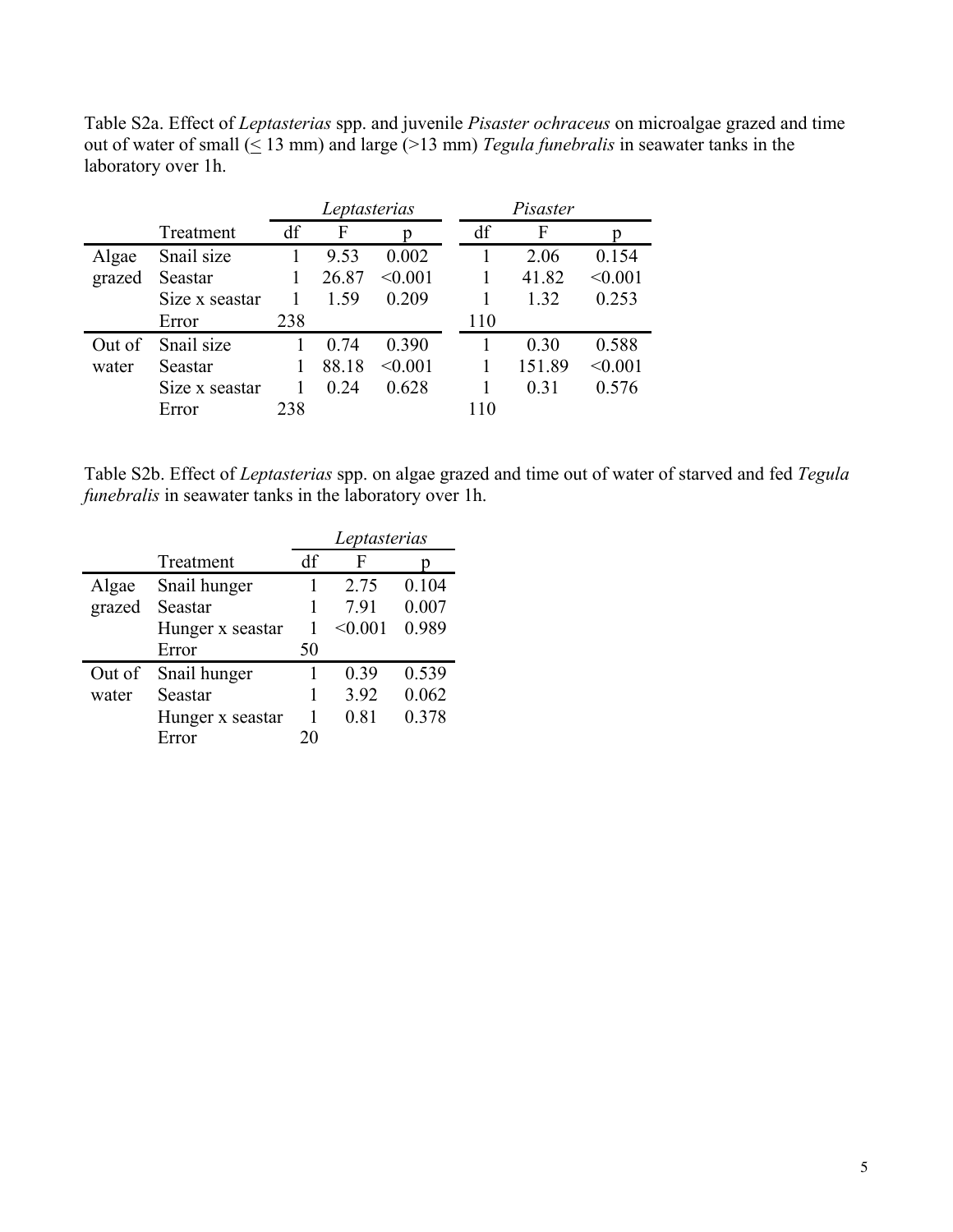Table S2a. Effect of *Leptasterias* spp. and juvenile *Pisaster ochraceus* on microalgae grazed and time out of water of small  $($   $\leq$  13 mm) and large (>13 mm) *Tegula funebralis* in seawater tanks in the laboratory over 1h.

|        |                | Leptasterias |       |         | Pisaster |        |         |
|--------|----------------|--------------|-------|---------|----------|--------|---------|
|        | Treatment      | df           | F     |         | df       | F      |         |
| Algae  | Snail size     |              | 9.53  | 0.002   |          | 2.06   | 0.154   |
| grazed | Seastar        |              | 26.87 | < 0.001 |          | 41.82  | < 0.001 |
|        | Size x seastar |              | 1.59  | 0.209   |          | 1.32   | 0.253   |
|        | Error          | 238          |       |         | 110      |        |         |
| Out of | Snail size     |              | 0.74  | 0.390   |          | 0.30   | 0.588   |
| water  | Seastar        |              | 88.18 | < 0.001 |          | 151.89 | < 0.001 |
|        | Size x seastar |              | 0.24  | 0.628   |          | 0.31   | 0.576   |
|        | Error          | 238          |       |         | 110      |        |         |

Table S2b. Effect of *Leptasterias* spp. on algae grazed and time out of water of starved and fed *Tegula funebralis* in seawater tanks in the laboratory over 1h.

|        |                  | Leptasterias |         |       |  |  |
|--------|------------------|--------------|---------|-------|--|--|
|        | Treatment        | df           | F       |       |  |  |
| Algae  | Snail hunger     |              | 2.75    | 0.104 |  |  |
| grazed | Seastar          |              | 7.91    | 0.007 |  |  |
|        | Hunger x seastar |              | < 0.001 | 0.989 |  |  |
|        | Error            | 50           |         |       |  |  |
| Out of | Snail hunger     |              | 0.39    | 0.539 |  |  |
| water  | Seastar          |              | 3.92    | 0.062 |  |  |
|        | Hunger x seastar | 1            | 0.81    | 0.378 |  |  |
|        | Error            | 20           |         |       |  |  |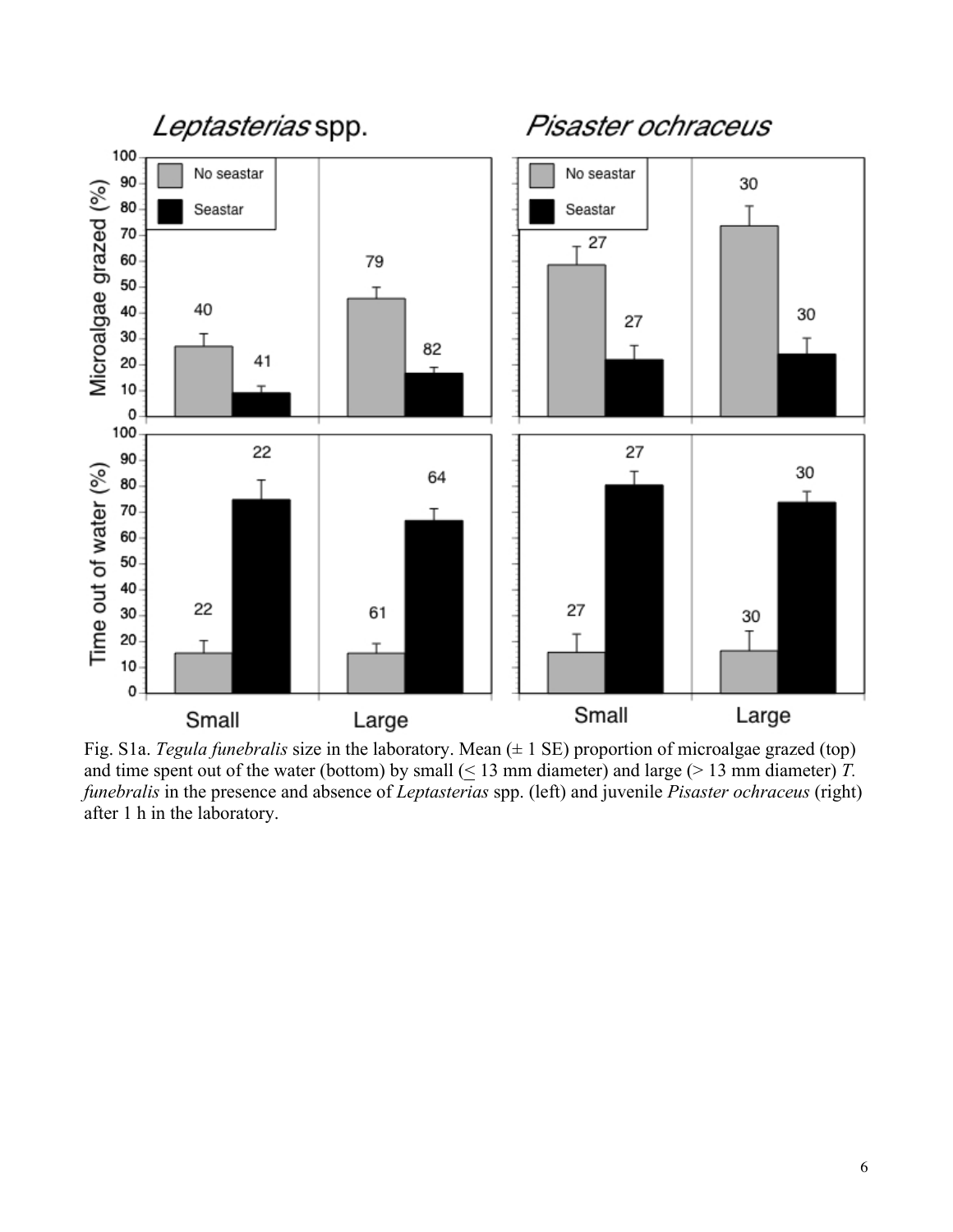

Fig. S1a. *Tegula funebralis* size in the laboratory. Mean (± 1 SE) proportion of microalgae grazed (top) and time spent out of the water (bottom) by small  $( \leq 13 \text{ mm diameter})$  and large ( $> 13 \text{ mm diameter})$  *T*. *funebralis* in the presence and absence of *Leptasterias* spp. (left) and juvenile *Pisaster ochraceus* (right) after 1 h in the laboratory.